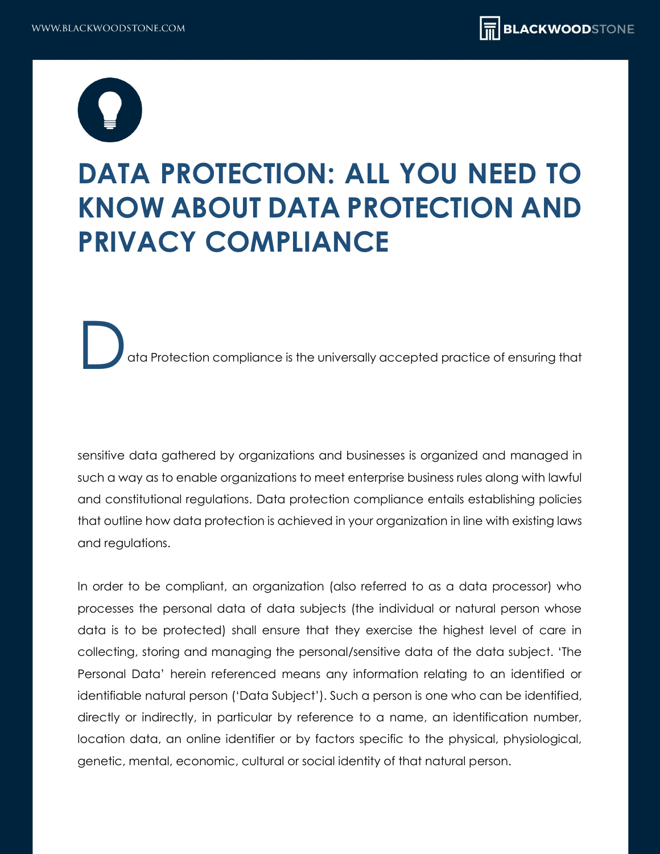

# **DATA PROTECTION: ALL YOU NEED TO KNOW ABOUT DATA PROTECTION AND PRIVACY COMPLIANCE**

ata Protection compliance is the universally accepted practice of ensuring that

sensitive data gathered by organizations and businesses is organized and managed in such a way as to enable organizations to meet enterprise business rules along with lawful and constitutional regulations. Data protection compliance entails establishing policies that outline how data protection is achieved in your organization in line with existing laws and regulations.

In order to be compliant, an organization (also referred to as a data processor) who processes the personal data of data subjects (the individual or natural person whose data is to be protected) shall ensure that they exercise the highest level of care in collecting, storing and managing the personal/sensitive data of the data subject. 'The Personal Data' herein referenced means any information relating to an identified or identifiable natural person ('Data Subject'). Such a person is one who can be identified, directly or indirectly, in particular by reference to a name, an identification number, location data, an online identifier or by factors specific to the physical, physiological, genetic, mental, economic, cultural or social identity of that natural person.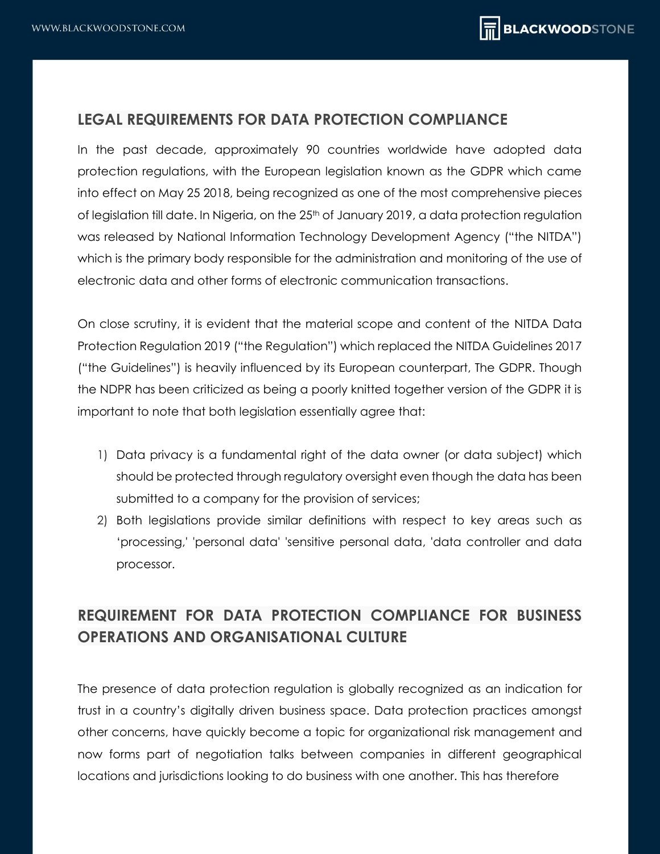## **LEGAL REQUIREMENTS FOR DATA PROTECTION COMPLIANCE**

In the past decade, approximately 90 countries worldwide have adopted data protection regulations, with the European legislation known as the GDPR which came into effect on May 25 2018, being recognized as one of the most comprehensive pieces of legislation till date. In Nigeria, on the 25<sup>th</sup> of January 2019, a data protection regulation was released by National Information Technology Development Agency ("the NITDA") which is the primary body responsible for the administration and monitoring of the use of electronic data and other forms of electronic communication transactions.

On close scrutiny, it is evident that the material scope and content of the NITDA Data Protection Regulation 2019 ("the Regulation") which replaced the NITDA Guidelines 2017 ("the Guidelines") is heavily influenced by its European counterpart, The GDPR. Though the NDPR has been criticized as being a poorly knitted together version of the GDPR it is important to note that both legislation essentially agree that:

- 1) Data privacy is a fundamental right of the data owner (or data subject) which should be protected through regulatory oversight even though the data has been submitted to a company for the provision of services;
- 2) Both legislations provide similar definitions with respect to key areas such as 'processing,' 'personal data' 'sensitive personal data, 'data controller and data processor.

# **REQUIREMENT FOR DATA PROTECTION COMPLIANCE FOR BUSINESS OPERATIONS AND ORGANISATIONAL CULTURE**

The presence of data protection regulation is globally recognized as an indication for trust in a country's digitally driven business space. Data protection practices amongst other concerns, have quickly become a topic for organizational risk management and now forms part of negotiation talks between companies in different geographical locations and jurisdictions looking to do business with one another. This has therefore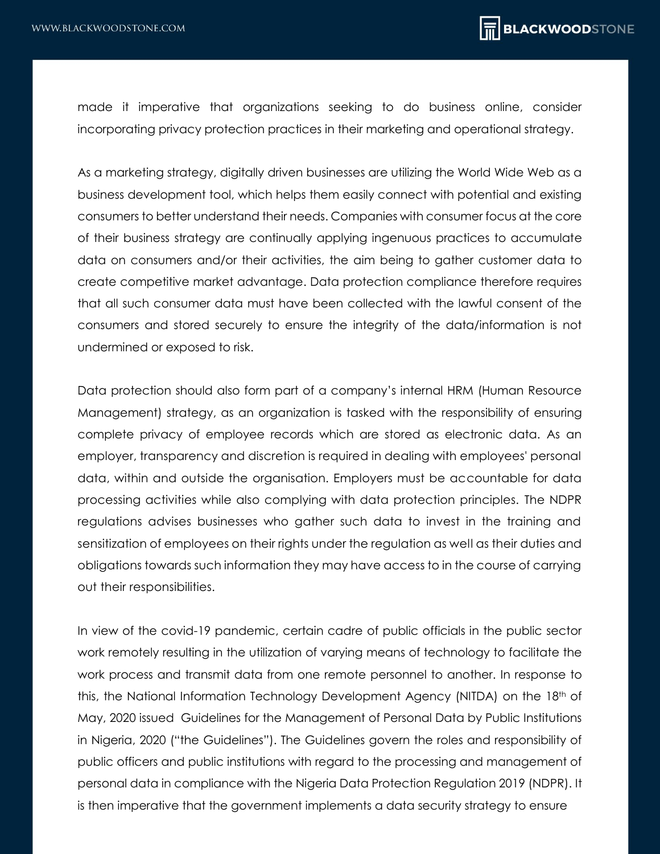made it imperative that organizations seeking to do business online, consider incorporating privacy protection practices in their marketing and operational strategy.

As a marketing strategy, digitally driven businesses are utilizing the World Wide Web as a business development tool, which helps them easily connect with potential and existing consumers to better understand their needs. Companies with consumer focus at the core of their business strategy are continually applying ingenuous practices to accumulate data on consumers and/or their activities, the aim being to gather customer data to create competitive market advantage. Data protection compliance therefore requires that all such consumer data must have been collected with the lawful consent of the consumers and stored securely to ensure the integrity of the data/information is not undermined or exposed to risk.

Data protection should also form part of a company's internal HRM (Human Resource Management) strategy, as an organization is tasked with the responsibility of ensuring complete privacy of employee records which are stored as electronic data. As an employer, transparency and discretion is required in dealing with employees' personal data, within and outside the organisation. Employers must be accountable for data processing activities while also complying with data protection principles. The NDPR regulations advises businesses who gather such data to invest in the training and sensitization of employees on their rights under the regulation as well as their duties and obligations towards such information they may have access to in the course of carrying out their responsibilities.

In view of the covid-19 pandemic, certain cadre of public officials in the public sector work remotely resulting in the utilization of varying means of technology to facilitate the work process and transmit data from one remote personnel to another. In response to this, the National Information Technology Development Agency (NITDA) on the 18<sup>th</sup> of May, 2020 issued Guidelines for the Management of Personal Data by Public Institutions in Nigeria, 2020 ("the Guidelines"). The Guidelines govern the roles and responsibility of public officers and public institutions with regard to the processing and management of personal data in compliance with the Nigeria Data Protection Regulation 2019 (NDPR). It is then imperative that the government implements a data security strategy to ensure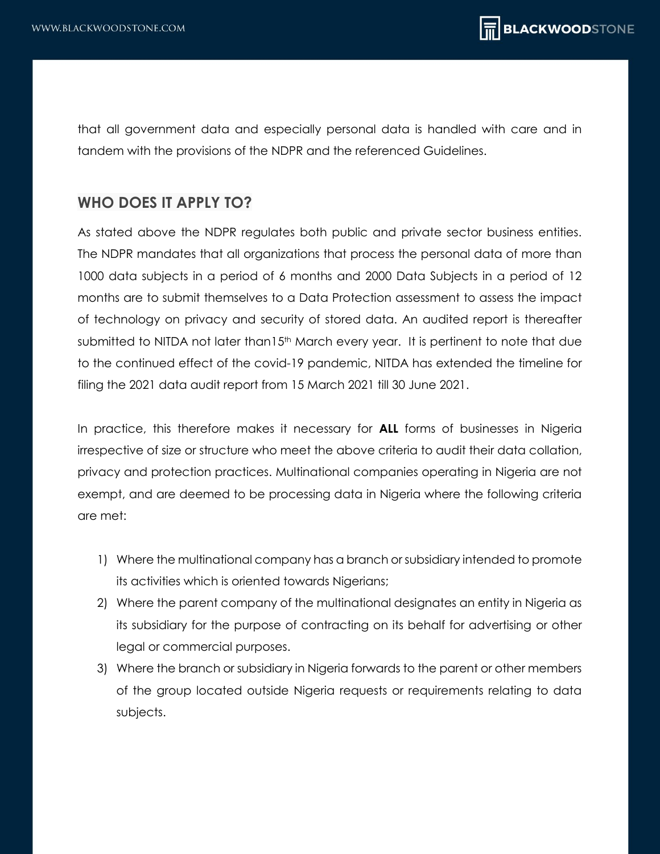that all government data and especially personal data is handled with care and in tandem with the provisions of the NDPR and the referenced Guidelines.

#### **WHO DOES IT APPLY TO?**

As stated above the NDPR regulates both public and private sector business entities. The NDPR mandates that all organizations that process the personal data of more than 1000 data subjects in a period of 6 months and 2000 Data Subjects in a period of 12 months are to submit themselves to a Data Protection assessment to assess the impact of technology on privacy and security of stored data. An audited report is thereafter submitted to NITDA not later than15<sup>th</sup> March every year. It is pertinent to note that due to the continued effect of the covid-19 pandemic, NITDA has extended the timeline for filing the 2021 data audit report from 15 March 2021 till 30 June 2021.

In practice, this therefore makes it necessary for **ALL** forms of businesses in Nigeria irrespective of size or structure who meet the above criteria to audit their data collation, privacy and protection practices. Multinational companies operating in Nigeria are not exempt, and are deemed to be processing data in Nigeria where the following criteria are met:

- 1) Where the multinational company has a branch or subsidiary intended to promote its activities which is oriented towards Nigerians;
- 2) Where the parent company of the multinational designates an entity in Nigeria as its subsidiary for the purpose of contracting on its behalf for advertising or other legal or commercial purposes.
- 3) Where the branch or subsidiary in Nigeria forwards to the parent or other members of the group located outside Nigeria requests or requirements relating to data subjects.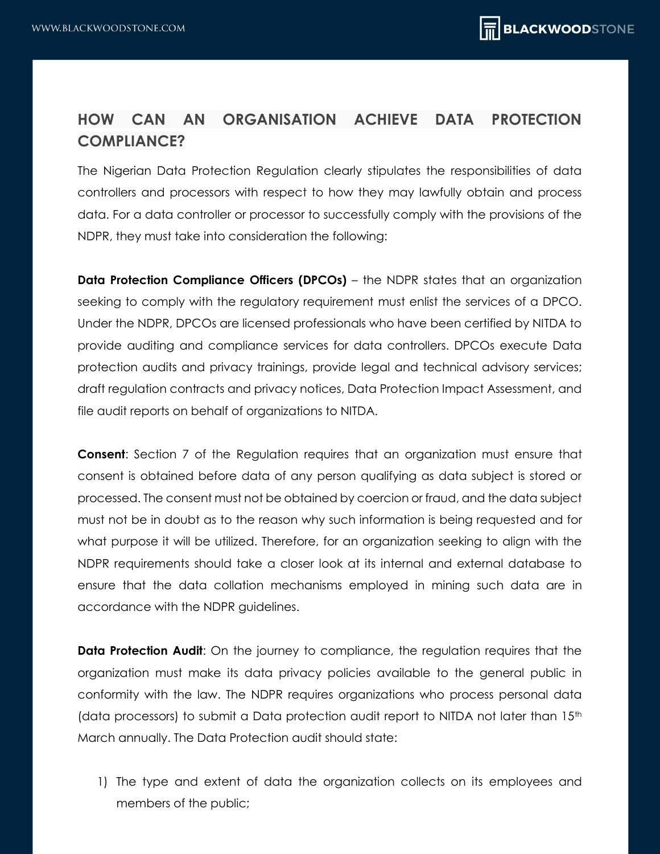# **HOW CAN AN ORGANISATION ACHIEVE DATA PROTECTION COMPLIANCE?**

The Nigerian Data Protection Regulation clearly stipulates the responsibilities of data controllers and processors with respect to how they may lawfully obtain and process data. For a data controller or processor to successfully comply with the provisions of the NDPR, they must take into consideration the following:

**Data Protection Compliance Officers (DPCOs)** – the NDPR states that an organization seeking to comply with the regulatory requirement must enlist the services of a DPCO. Under the NDPR, DPCOs are licensed professionals who have been certified by NITDA to provide auditing and compliance services for data controllers. DPCOs execute Data protection audits and privacy trainings, provide legal and technical advisory services; draft regulation contracts and privacy notices, Data Protection Impact Assessment, and file audit reports on behalf of organizations to NITDA.

**Consent:** Section 7 of the Regulation requires that an organization must ensure that consent is obtained before data of any person qualifying as data subject is stored or processed. The consent must not be obtained by coercion or fraud, and the data subject must not be in doubt as to the reason why such information is being requested and for what purpose it will be utilized. Therefore, for an organization seeking to align with the NDPR requirements should take a closer look at its internal and external database to ensure that the data collation mechanisms employed in mining such data are in accordance with the NDPR guidelines.

**Data Protection Audit:** On the journey to compliance, the regulation requires that the organization must make its data privacy policies available to the general public in conformity with the law. The NDPR requires organizations who process personal data (data processors) to submit a Data protection audit report to NITDA not later than 15<sup>th</sup> March annually. The Data Protection audit should state:

1) The type and extent of data the organization collects on its employees and members of the public;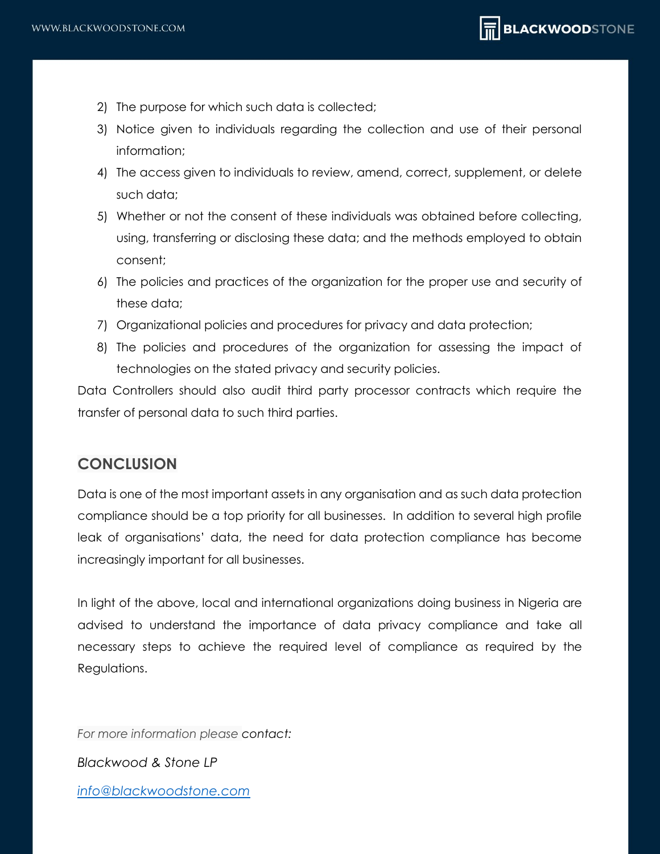- 2) The purpose for which such data is collected;
- 3) Notice given to individuals regarding the collection and use of their personal information;
- 4) The access given to individuals to review, amend, correct, supplement, or delete such data;
- 5) Whether or not the consent of these individuals was obtained before collecting, using, transferring or disclosing these data; and the methods employed to obtain consent;
- 6) The policies and practices of the organization for the proper use and security of these data;
- 7) Organizational policies and procedures for privacy and data protection;
- 8) The policies and procedures of the organization for assessing the impact of technologies on the stated privacy and security policies.

Data Controllers should also audit third party processor contracts which require the transfer of personal data to such third parties.

## **CONCLUSION**

Data is one of the most important assets in any organisation and as such data protection compliance should be a top priority for all businesses. In addition to several high profile leak of organisations' data, the need for data protection compliance has become increasingly important for all businesses.

In light of the above, local and international organizations doing business in Nigeria are advised to understand the importance of data privacy compliance and take all necessary steps to achieve the required level of compliance as required by the Regulations.

*For more information please contact:*

*Blackwood & Stone LP*

*[info@blackwoodstone.com](mailto:info@blackwoodstone.com)*